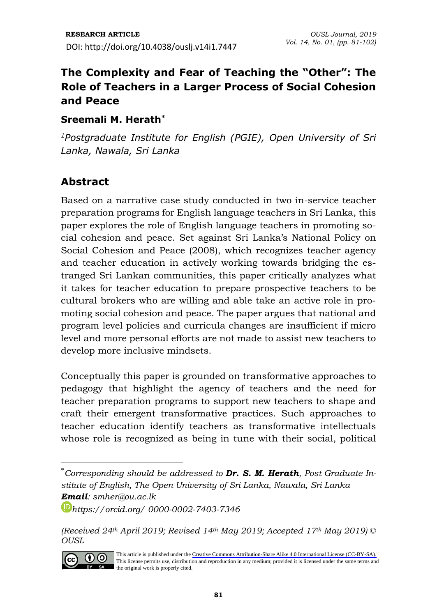# **The Complexity and Fear of Teaching the "Other": The Role of Teachers in a Larger Process of Social Cohesion and Peace**

### **Sreemali M. Herath\***

*<sup>1</sup>Postgraduate Institute for English (PGIE), Open University of Sri Lanka, Nawala, Sri Lanka*

## **Abstract**

Based on a narrative case study conducted in two in-service teacher preparation programs for English language teachers in Sri Lanka, this paper explores the role of English language teachers in promoting social cohesion and peace. Set against Sri Lanka's National Policy on Social Cohesion and Peace (2008), which recognizes teacher agency and teacher education in actively working towards bridging the estranged Sri Lankan communities, this paper critically analyzes what it takes for teacher education to prepare prospective teachers to be cultural brokers who are willing and able take an active role in promoting social cohesion and peace. The paper argues that national and program level policies and curricula changes are insufficient if micro level and more personal efforts are not made to assist new teachers to develop more inclusive mindsets.

Conceptually this paper is grounded on transformative approaches to pedagogy that highlight the agency of teachers and the need for teacher preparation programs to support new teachers to shape and craft their emergent transformative practices. Such approaches to teacher education identify teachers as transformative intellectuals whose role is recognized as being in tune with their social, political

*<sup>(</sup>Received 24th April 2019; Revised 14th May 2019; Accepted 17th May 2019) © OUSL*



This article is published under the [Creative Commons Attribution-Share Alike 4.0 International License \(CC-BY-SA\).](https://creativecommons.org/licenses/by-sa/4.0/)  This license permits use, distribution and reproduction in any medium; provided it is licensed under the same terms and the original work is properly cited.

<sup>\*</sup>*Corresponding should be addressed to Dr. S. M. Herath, Post Graduate Institute of English, The Open University of Sri Lanka, Nawala, Sri Lanka Email: [smher@ou.ac.lk](mailto:smher@ou.ac.lk)*

*<https://orcid.org/> 0000-0002-7403-7346*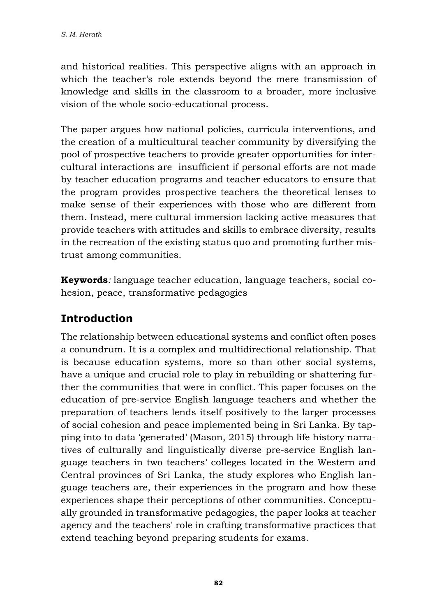and historical realities. This perspective aligns with an approach in which the teacher's role extends beyond the mere transmission of knowledge and skills in the classroom to a broader, more inclusive vision of the whole socio-educational process.

The paper argues how national policies, curricula interventions, and the creation of a multicultural teacher community by diversifying the pool of prospective teachers to provide greater opportunities for intercultural interactions are insufficient if personal efforts are not made by teacher education programs and teacher educators to ensure that the program provides prospective teachers the theoretical lenses to make sense of their experiences with those who are different from them. Instead, mere cultural immersion lacking active measures that provide teachers with attitudes and skills to embrace diversity, results in the recreation of the existing status quo and promoting further mistrust among communities.

**Keywords***:* language teacher education, language teachers, social cohesion, peace, transformative pedagogies

# **Introduction**

The relationship between educational systems and conflict often poses a conundrum. It is a complex and multidirectional relationship. That is because education systems, more so than other social systems, have a unique and crucial role to play in rebuilding or shattering further the communities that were in conflict. This paper focuses on the education of pre-service English language teachers and whether the preparation of teachers lends itself positively to the larger processes of social cohesion and peace implemented being in Sri Lanka. By tapping into to data 'generated' (Mason, 2015) through life history narratives of culturally and linguistically diverse pre-service English language teachers in two teachers' colleges located in the Western and Central provinces of Sri Lanka, the study explores who English language teachers are, their experiences in the program and how these experiences shape their perceptions of other communities. Conceptually grounded in transformative pedagogies, the paper looks at teacher agency and the teachers' role in crafting transformative practices that extend teaching beyond preparing students for exams.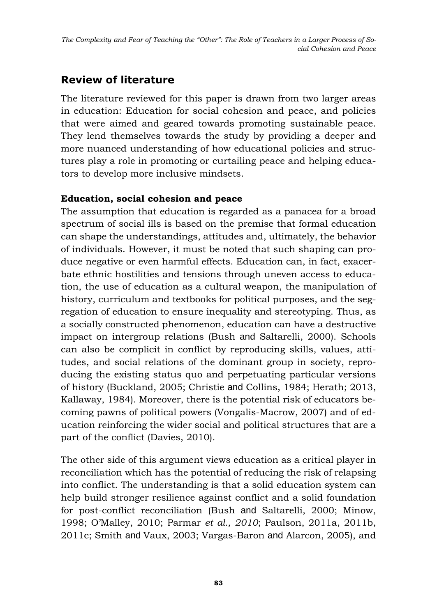*The Complexity and Fear of Teaching the "Other": The Role of Teachers in a Larger Process of Social Cohesion and Peace*

## **Review of literature**

The literature reviewed for this paper is drawn from two larger areas in education: Education for social cohesion and peace, and policies that were aimed and geared towards promoting sustainable peace. They lend themselves towards the study by providing a deeper and more nuanced understanding of how educational policies and structures play a role in promoting or curtailing peace and helping educators to develop more inclusive mindsets.

### **Education, social cohesion and peace**

The assumption that education is regarded as a panacea for a broad spectrum of social ills is based on the premise that formal education can shape the understandings, attitudes and, ultimately, the behavior of individuals. However, it must be noted that such shaping can produce negative or even harmful effects. Education can, in fact, exacerbate ethnic hostilities and tensions through uneven access to education, the use of education as a cultural weapon, the manipulation of history, curriculum and textbooks for political purposes, and the segregation of education to ensure inequality and stereotyping. Thus, as a socially constructed phenomenon, education can have a destructive impact on intergroup relations (Bush and Saltarelli, 2000). Schools can also be complicit in conflict by reproducing skills, values, attitudes, and social relations of the dominant group in society, reproducing the existing status quo and perpetuating particular versions of history (Buckland, 2005; Christie and Collins, 1984; Herath; 2013, Kallaway, 1984). Moreover, there is the potential risk of educators becoming pawns of political powers (Vongalis-Macrow, 2007) and of education reinforcing the wider social and political structures that are a part of the conflict (Davies, 2010).

The other side of this argument views education as a critical player in reconciliation which has the potential of reducing the risk of relapsing into conflict. The understanding is that a solid education system can help build stronger resilience against conflict and a solid foundation for post-conflict reconciliation (Bush and Saltarelli, 2000; Minow, 1998; O'Malley, 2010; Parmar *et al., 2010*; Paulson, 2011a, 2011b, 2011c; Smith and Vaux, 2003; Vargas-Baron and Alarcon, 2005), and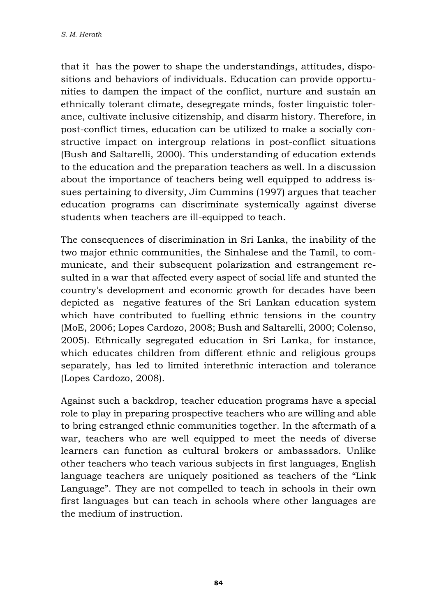that it has the power to shape the understandings, attitudes, dispositions and behaviors of individuals. Education can provide opportunities to dampen the impact of the conflict, nurture and sustain an ethnically tolerant climate, desegregate minds, foster linguistic tolerance, cultivate inclusive citizenship, and disarm history. Therefore, in post-conflict times, education can be utilized to make a socially constructive impact on intergroup relations in post-conflict situations (Bush and Saltarelli, 2000). This understanding of education extends to the education and the preparation teachers as well. In a discussion about the importance of teachers being well equipped to address issues pertaining to diversity, Jim Cummins (1997) argues that teacher education programs can discriminate systemically against diverse students when teachers are ill-equipped to teach.

The consequences of discrimination in Sri Lanka, the inability of the two major ethnic communities, the Sinhalese and the Tamil, to communicate, and their subsequent polarization and estrangement resulted in a war that affected every aspect of social life and stunted the country's development and economic growth for decades have been depicted as negative features of the Sri Lankan education system which have contributed to fuelling ethnic tensions in the country (MoE, 2006; Lopes Cardozo, 2008; Bush and Saltarelli, 2000; Colenso, 2005). Ethnically segregated education in Sri Lanka, for instance, which educates children from different ethnic and religious groups separately, has led to limited interethnic interaction and tolerance (Lopes Cardozo, 2008).

Against such a backdrop, teacher education programs have a special role to play in preparing prospective teachers who are willing and able to bring estranged ethnic communities together. In the aftermath of a war, teachers who are well equipped to meet the needs of diverse learners can function as cultural brokers or ambassadors. Unlike other teachers who teach various subjects in first languages, English language teachers are uniquely positioned as teachers of the "Link Language". They are not compelled to teach in schools in their own first languages but can teach in schools where other languages are the medium of instruction.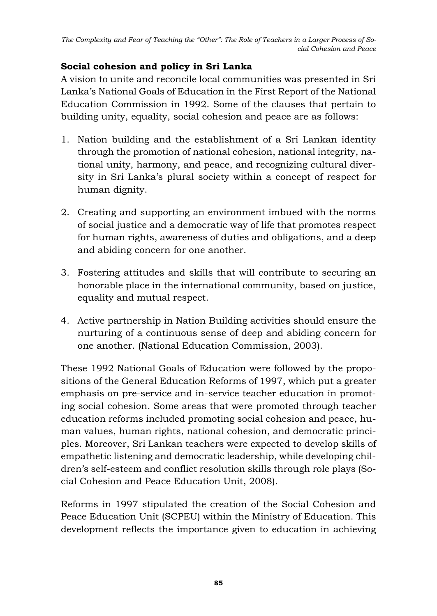### **Social cohesion and policy in Sri Lanka**

A vision to unite and reconcile local communities was presented in Sri Lanka's National Goals of Education in the First Report of the National Education Commission in 1992. Some of the clauses that pertain to building unity, equality, social cohesion and peace are as follows:

- 1. Nation building and the establishment of a Sri Lankan identity through the promotion of national cohesion, national integrity, national unity, harmony, and peace, and recognizing cultural diversity in Sri Lanka's plural society within a concept of respect for human dignity.
- 2. Creating and supporting an environment imbued with the norms of social justice and a democratic way of life that promotes respect for human rights, awareness of duties and obligations, and a deep and abiding concern for one another.
- 3. Fostering attitudes and skills that will contribute to securing an honorable place in the international community, based on justice, equality and mutual respect.
- 4. Active partnership in Nation Building activities should ensure the nurturing of a continuous sense of deep and abiding concern for one another. (National Education Commission, 2003).

These 1992 National Goals of Education were followed by the propositions of the General Education Reforms of 1997, which put a greater emphasis on pre-service and in-service teacher education in promoting social cohesion. Some areas that were promoted through teacher education reforms included promoting social cohesion and peace, human values, human rights, national cohesion, and democratic principles. Moreover, Sri Lankan teachers were expected to develop skills of empathetic listening and democratic leadership, while developing children's self-esteem and conflict resolution skills through role plays (Social Cohesion and Peace Education Unit, 2008).

Reforms in 1997 stipulated the creation of the Social Cohesion and Peace Education Unit (SCPEU) within the Ministry of Education. This development reflects the importance given to education in achieving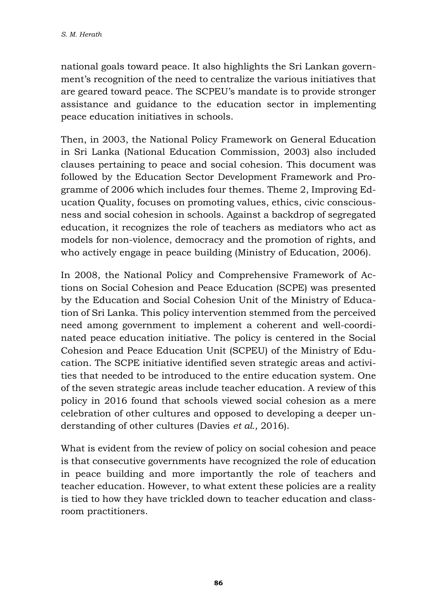national goals toward peace. It also highlights the Sri Lankan government's recognition of the need to centralize the various initiatives that are geared toward peace. The SCPEU's mandate is to provide stronger assistance and guidance to the education sector in implementing peace education initiatives in schools.

Then, in 2003, the National Policy Framework on General Education in Sri Lanka (National Education Commission, 2003) also included clauses pertaining to peace and social cohesion. This document was followed by the Education Sector Development Framework and Programme of 2006 which includes four themes. Theme 2, Improving Education Quality, focuses on promoting values, ethics, civic consciousness and social cohesion in schools. Against a backdrop of segregated education, it recognizes the role of teachers as mediators who act as models for non-violence, democracy and the promotion of rights, and who actively engage in peace building (Ministry of Education, 2006).

In 2008, the National Policy and Comprehensive Framework of Actions on Social Cohesion and Peace Education (SCPE) was presented by the Education and Social Cohesion Unit of the Ministry of Education of Sri Lanka. This policy intervention stemmed from the perceived need among government to implement a coherent and well-coordinated peace education initiative. The policy is centered in the Social Cohesion and Peace Education Unit (SCPEU) of the Ministry of Education. The SCPE initiative identified seven strategic areas and activities that needed to be introduced to the entire education system. One of the seven strategic areas include teacher education. A review of this policy in 2016 found that schools viewed social cohesion as a mere celebration of other cultures and opposed to developing a deeper understanding of other cultures (Davies *et al.,* 2016).

What is evident from the review of policy on social cohesion and peace is that consecutive governments have recognized the role of education in peace building and more importantly the role of teachers and teacher education. However, to what extent these policies are a reality is tied to how they have trickled down to teacher education and classroom practitioners.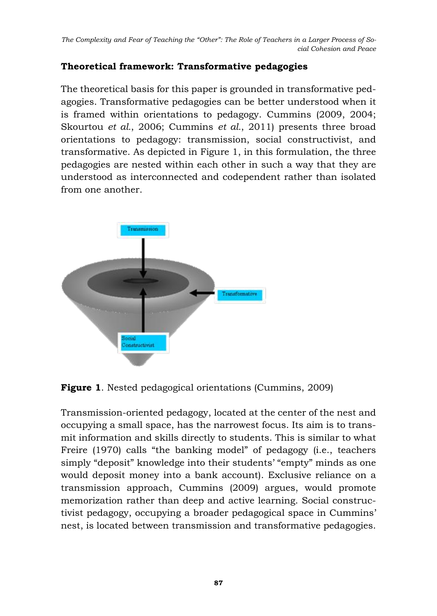## **Theoretical framework: Transformative pedagogies**

The theoretical basis for this paper is grounded in transformative pedagogies. Transformative pedagogies can be better understood when it is framed within orientations to pedagogy. Cummins (2009, 2004; Skourtou *et al.*, 2006; Cummins *et al.*, 2011) presents three broad orientations to pedagogy: transmission, social constructivist, and transformative. As depicted in Figure 1, in this formulation, the three pedagogies are nested within each other in such a way that they are understood as interconnected and codependent rather than isolated from one another.



**Figure 1**. Nested pedagogical orientations (Cummins, 2009)

Transmission-oriented pedagogy, located at the center of the nest and occupying a small space, has the narrowest focus. Its aim is to transmit information and skills directly to students. This is similar to what Freire (1970) calls "the banking model" of pedagogy (i.e., teachers simply "deposit" knowledge into their students' "empty" minds as one would deposit money into a bank account). Exclusive reliance on a transmission approach, Cummins (2009) argues, would promote memorization rather than deep and active learning. Social constructivist pedagogy, occupying a broader pedagogical space in Cummins' nest, is located between transmission and transformative pedagogies.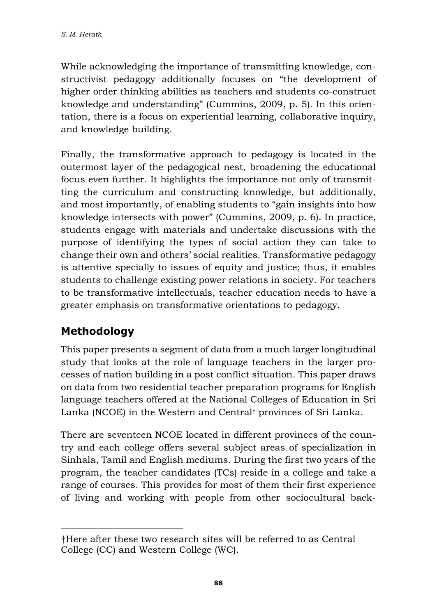While acknowledging the importance of transmitting knowledge, constructivist pedagogy additionally focuses on "the development of higher order thinking abilities as teachers and students co-construct knowledge and understanding" (Cummins, 2009, p. 5). In this orientation, there is a focus on experiential learning, collaborative inquiry, and knowledge building.

Finally, the transformative approach to pedagogy is located in the outermost layer of the pedagogical nest, broadening the educational focus even further. It highlights the importance not only of transmitting the curriculum and constructing knowledge, but additionally, and most importantly, of enabling students to "gain insights into how knowledge intersects with power" (Cummins, 2009, p. 6). In practice, students engage with materials and undertake discussions with the purpose of identifying the types of social action they can take to change their own and others' social realities. Transformative pedagogy is attentive specially to issues of equity and justice; thus, it enables students to challenge existing power relations in society. For teachers to be transformative intellectuals, teacher education needs to have a greater emphasis on transformative orientations to pedagogy.

# **Methodology**

This paper presents a segment of data from a much larger longitudinal study that looks at the role of language teachers in the larger processes of nation building in a post conflict situation. This paper draws on data from two residential teacher preparation programs for English language teachers offered at the National Colleges of Education in Sri Lanka (NCOE) in the Western and Central† provinces of Sri Lanka.

There are seventeen NCOE located in different provinces of the country and each college offers several subject areas of specialization in Sinhala, Tamil and English mediums. During the first two years of the program, the teacher candidates (TCs) reside in a college and take a range of courses. This provides for most of them their first experience of living and working with people from other sociocultural back-

<sup>†</sup>Here after these two research sites will be referred to as Central College (CC) and Western College (WC).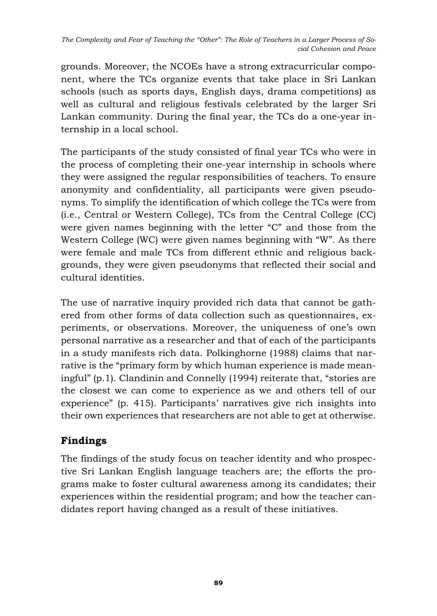grounds. Moreover, the NCOEs have a strong extracurricular component, where the TCs organize events that take place in Sri Lankan schools (such as sports days, English days, drama competitions) as well as cultural and religious festivals celebrated by the larger Sri Lankan community. During the final year, the TCs do a one-year internship in a local school.

The participants of the study consisted of final year TCs who were in the process of completing their one-year internship in schools where they were assigned the regular responsibilities of teachers. To ensure anonymity and confidentiality, all participants were given pseudonyms. To simplify the identification of which college the TCs were from (i.e., Central or Western College), TCs from the Central College (CC) were given names beginning with the letter "C" and those from the Western College (WC) were given names beginning with "W". As there were female and male TCs from different ethnic and religious backgrounds, they were given pseudonyms that reflected their social and cultural identities.

The use of narrative inquiry provided rich data that cannot be gathered from other forms of data collection such as questionnaires, experiments, or observations. Moreover, the uniqueness of one's own personal narrative as a researcher and that of each of the participants in a study manifests rich data. Polkinghorne (1988) claims that narrative is the "primary form by which human experience is made meaningful" (p.1). Clandinin and Connelly (1994) reiterate that, "stories are the closest we can come to experience as we and others tell of our experience" (p. 415). Participants' narratives give rich insights into their own experiences that researchers are not able to get at otherwise.

## **Findings**

The findings of the study focus on teacher identity and who prospective Sri Lankan English language teachers are; the efforts the programs make to foster cultural awareness among its candidates; their experiences within the residential program; and how the teacher candidates report having changed as a result of these initiatives.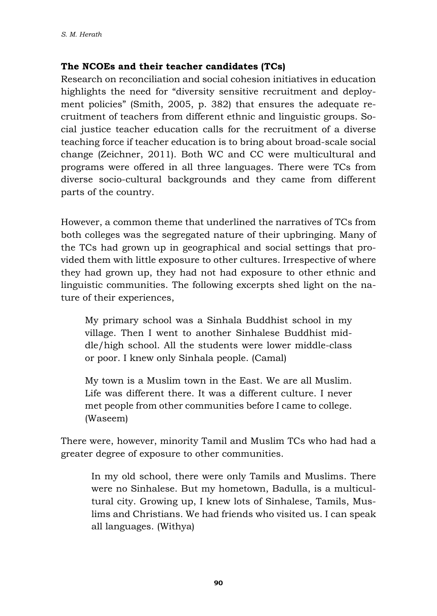#### **The NCOEs and their teacher candidates (TCs)**

Research on reconciliation and social cohesion initiatives in education highlights the need for "diversity sensitive recruitment and deployment policies" (Smith, 2005, p. 382) that ensures the adequate recruitment of teachers from different ethnic and linguistic groups. Social justice teacher education calls for the recruitment of a diverse teaching force if teacher education is to bring about broad-scale social change (Zeichner, 2011). Both WC and CC were multicultural and programs were offered in all three languages. There were TCs from diverse socio-cultural backgrounds and they came from different parts of the country.

However, a common theme that underlined the narratives of TCs from both colleges was the segregated nature of their upbringing. Many of the TCs had grown up in geographical and social settings that provided them with little exposure to other cultures. Irrespective of where they had grown up, they had not had exposure to other ethnic and linguistic communities. The following excerpts shed light on the nature of their experiences,

My primary school was a Sinhala Buddhist school in my village. Then I went to another Sinhalese Buddhist middle/high school. All the students were lower middle-class or poor. I knew only Sinhala people. (Camal)

My town is a Muslim town in the East. We are all Muslim. Life was different there. It was a different culture. I never met people from other communities before I came to college. (Waseem)

There were, however, minority Tamil and Muslim TCs who had had a greater degree of exposure to other communities.

In my old school, there were only Tamils and Muslims. There were no Sinhalese. But my hometown, Badulla, is a multicultural city. Growing up, I knew lots of Sinhalese, Tamils, Muslims and Christians. We had friends who visited us. I can speak all languages. (Withya)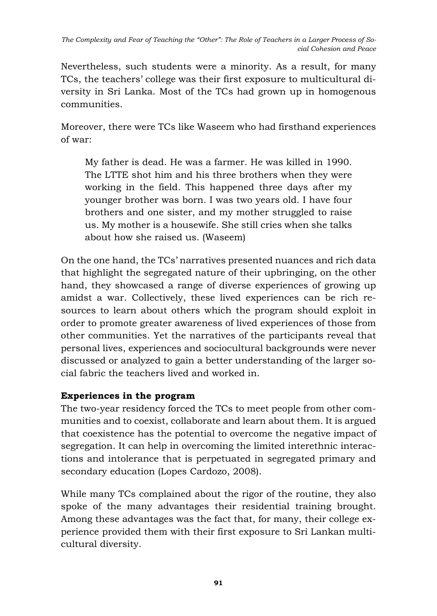Nevertheless, such students were a minority. As a result, for many TCs, the teachers' college was their first exposure to multicultural diversity in Sri Lanka. Most of the TCs had grown up in homogenous communities.

Moreover, there were TCs like Waseem who had firsthand experiences of war:

My father is dead. He was a farmer. He was killed in 1990. The LTTE shot him and his three brothers when they were working in the field. This happened three days after my younger brother was born. I was two years old. I have four brothers and one sister, and my mother struggled to raise us. My mother is a housewife. She still cries when she talks about how she raised us. (Waseem)

On the one hand, the TCs' narratives presented nuances and rich data that highlight the segregated nature of their upbringing, on the other hand, they showcased a range of diverse experiences of growing up amidst a war. Collectively, these lived experiences can be rich resources to learn about others which the program should exploit in order to promote greater awareness of lived experiences of those from other communities. Yet the narratives of the participants reveal that personal lives, experiences and sociocultural backgrounds were never discussed or analyzed to gain a better understanding of the larger social fabric the teachers lived and worked in.

### **Experiences in the program**

The two-year residency forced the TCs to meet people from other communities and to coexist, collaborate and learn about them. It is argued that coexistence has the potential to overcome the negative impact of segregation. It can help in overcoming the limited interethnic interactions and intolerance that is perpetuated in segregated primary and secondary education (Lopes Cardozo, 2008).

While many TCs complained about the rigor of the routine, they also spoke of the many advantages their residential training brought. Among these advantages was the fact that, for many, their college experience provided them with their first exposure to Sri Lankan multicultural diversity.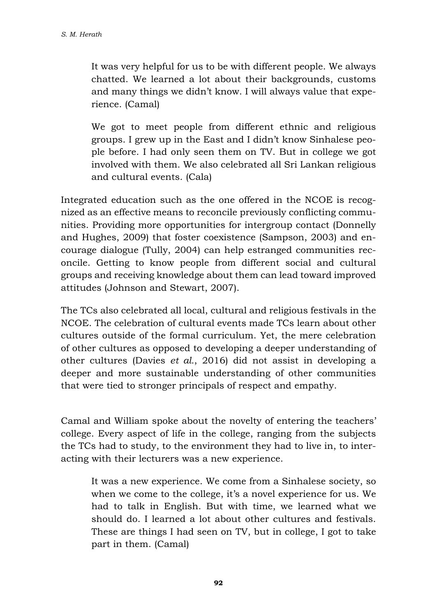It was very helpful for us to be with different people. We always chatted. We learned a lot about their backgrounds, customs and many things we didn't know. I will always value that experience. (Camal)

We got to meet people from different ethnic and religious groups. I grew up in the East and I didn't know Sinhalese people before. I had only seen them on TV. But in college we got involved with them. We also celebrated all Sri Lankan religious and cultural events. (Cala)

Integrated education such as the one offered in the NCOE is recognized as an effective means to reconcile previously conflicting communities. Providing more opportunities for intergroup contact (Donnelly and Hughes, 2009) that foster coexistence (Sampson, 2003) and encourage dialogue (Tully, 2004) can help estranged communities reconcile. Getting to know people from different social and cultural groups and receiving knowledge about them can lead toward improved attitudes (Johnson and Stewart, 2007).

The TCs also celebrated all local, cultural and religious festivals in the NCOE. The celebration of cultural events made TCs learn about other cultures outside of the formal curriculum. Yet, the mere celebration of other cultures as opposed to developing a deeper understanding of other cultures (Davies *et al.*, 2016) did not assist in developing a deeper and more sustainable understanding of other communities that were tied to stronger principals of respect and empathy.

Camal and William spoke about the novelty of entering the teachers' college. Every aspect of life in the college, ranging from the subjects the TCs had to study, to the environment they had to live in, to interacting with their lecturers was a new experience.

It was a new experience. We come from a Sinhalese society, so when we come to the college, it's a novel experience for us. We had to talk in English. But with time, we learned what we should do. I learned a lot about other cultures and festivals. These are things I had seen on TV, but in college, I got to take part in them. (Camal)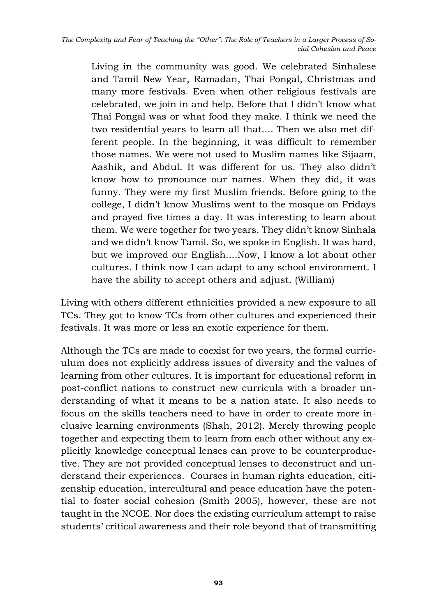Living in the community was good. We celebrated Sinhalese and Tamil New Year, Ramadan, Thai Pongal, Christmas and many more festivals. Even when other religious festivals are celebrated, we join in and help. Before that I didn't know what Thai Pongal was or what food they make. I think we need the two residential years to learn all that.... Then we also met different people. In the beginning, it was difficult to remember those names. We were not used to Muslim names like Sijaam, Aashik, and Abdul. It was different for us. They also didn't know how to pronounce our names. When they did, it was funny. They were my first Muslim friends. Before going to the college, I didn't know Muslims went to the mosque on Fridays and prayed five times a day. It was interesting to learn about them. We were together for two years. They didn't know Sinhala and we didn't know Tamil. So, we spoke in English. It was hard, but we improved our English....Now, I know a lot about other cultures. I think now I can adapt to any school environment. I have the ability to accept others and adjust. (William)

Living with others different ethnicities provided a new exposure to all TCs. They got to know TCs from other cultures and experienced their festivals. It was more or less an exotic experience for them.

Although the TCs are made to coexist for two years, the formal curriculum does not explicitly address issues of diversity and the values of learning from other cultures. It is important for educational reform in post-conflict nations to construct new curricula with a broader understanding of what it means to be a nation state. It also needs to focus on the skills teachers need to have in order to create more inclusive learning environments (Shah, 2012). Merely throwing people together and expecting them to learn from each other without any explicitly knowledge conceptual lenses can prove to be counterproductive. They are not provided conceptual lenses to deconstruct and understand their experiences. Courses in human rights education, citizenship education, intercultural and peace education have the potential to foster social cohesion (Smith 2005), however, these are not taught in the NCOE. Nor does the existing curriculum attempt to raise students' critical awareness and their role beyond that of transmitting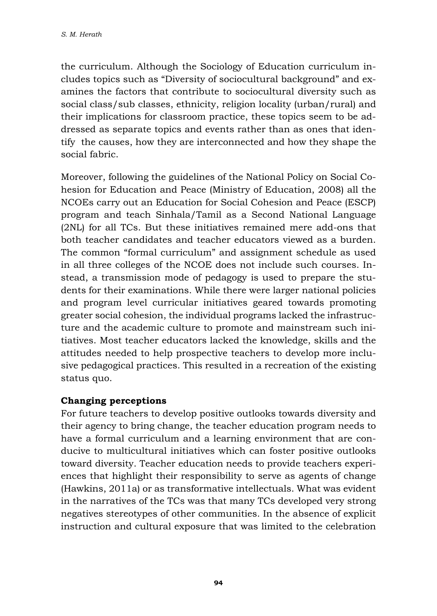the curriculum. Although the Sociology of Education curriculum includes topics such as "Diversity of sociocultural background" and examines the factors that contribute to sociocultural diversity such as social class/sub classes, ethnicity, religion locality (urban/rural) and their implications for classroom practice, these topics seem to be addressed as separate topics and events rather than as ones that identify the causes, how they are interconnected and how they shape the social fabric.

Moreover, following the guidelines of the National Policy on Social Cohesion for Education and Peace (Ministry of Education, 2008) all the NCOEs carry out an Education for Social Cohesion and Peace (ESCP) program and teach Sinhala/Tamil as a Second National Language (2NL) for all TCs. But these initiatives remained mere add-ons that both teacher candidates and teacher educators viewed as a burden. The common "formal curriculum" and assignment schedule as used in all three colleges of the NCOE does not include such courses. Instead, a transmission mode of pedagogy is used to prepare the students for their examinations. While there were larger national policies and program level curricular initiatives geared towards promoting greater social cohesion, the individual programs lacked the infrastructure and the academic culture to promote and mainstream such initiatives. Most teacher educators lacked the knowledge, skills and the attitudes needed to help prospective teachers to develop more inclusive pedagogical practices. This resulted in a recreation of the existing status quo.

### **Changing perceptions**

For future teachers to develop positive outlooks towards diversity and their agency to bring change, the teacher education program needs to have a formal curriculum and a learning environment that are conducive to multicultural initiatives which can foster positive outlooks toward diversity. Teacher education needs to provide teachers experiences that highlight their responsibility to serve as agents of change (Hawkins, 2011a) or as transformative intellectuals. What was evident in the narratives of the TCs was that many TCs developed very strong negatives stereotypes of other communities. In the absence of explicit instruction and cultural exposure that was limited to the celebration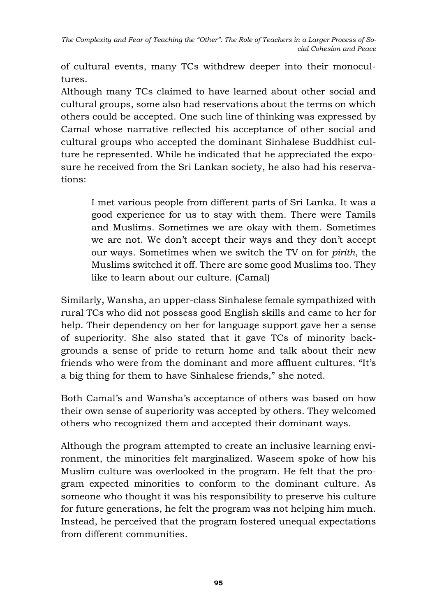*The Complexity and Fear of Teaching the "Other": The Role of Teachers in a Larger Process of Social Cohesion and Peace*

of cultural events, many TCs withdrew deeper into their monocultures.

Although many TCs claimed to have learned about other social and cultural groups, some also had reservations about the terms on which others could be accepted. One such line of thinking was expressed by Camal whose narrative reflected his acceptance of other social and cultural groups who accepted the dominant Sinhalese Buddhist culture he represented. While he indicated that he appreciated the exposure he received from the Sri Lankan society, he also had his reservations:

I met various people from different parts of Sri Lanka. It was a good experience for us to stay with them. There were Tamils and Muslims. Sometimes we are okay with them. Sometimes we are not. We don't accept their ways and they don't accept our ways. Sometimes when we switch the TV on for *pirith*, the Muslims switched it off. There are some good Muslims too. They like to learn about our culture. (Camal)

Similarly, Wansha, an upper-class Sinhalese female sympathized with rural TCs who did not possess good English skills and came to her for help. Their dependency on her for language support gave her a sense of superiority. She also stated that it gave TCs of minority backgrounds a sense of pride to return home and talk about their new friends who were from the dominant and more affluent cultures. "It's a big thing for them to have Sinhalese friends," she noted.

Both Camal's and Wansha's acceptance of others was based on how their own sense of superiority was accepted by others. They welcomed others who recognized them and accepted their dominant ways.

Although the program attempted to create an inclusive learning environment, the minorities felt marginalized. Waseem spoke of how his Muslim culture was overlooked in the program. He felt that the program expected minorities to conform to the dominant culture. As someone who thought it was his responsibility to preserve his culture for future generations, he felt the program was not helping him much. Instead, he perceived that the program fostered unequal expectations from different communities.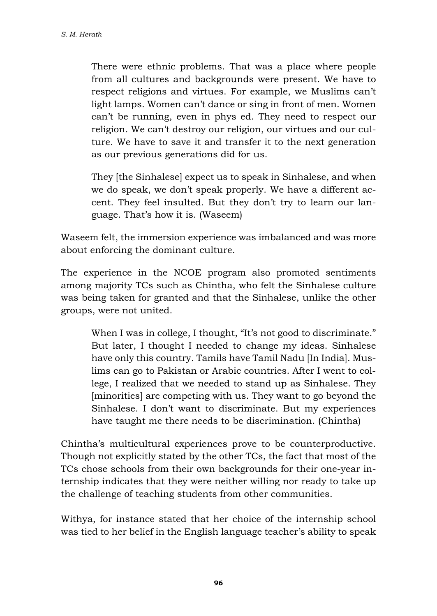There were ethnic problems. That was a place where people from all cultures and backgrounds were present. We have to respect religions and virtues. For example, we Muslims can't light lamps. Women can't dance or sing in front of men. Women can't be running, even in phys ed. They need to respect our religion. We can't destroy our religion, our virtues and our culture. We have to save it and transfer it to the next generation as our previous generations did for us.

They [the Sinhalese] expect us to speak in Sinhalese, and when we do speak, we don't speak properly. We have a different accent. They feel insulted. But they don't try to learn our language. That's how it is. (Waseem)

Waseem felt, the immersion experience was imbalanced and was more about enforcing the dominant culture.

The experience in the NCOE program also promoted sentiments among majority TCs such as Chintha, who felt the Sinhalese culture was being taken for granted and that the Sinhalese, unlike the other groups, were not united.

When I was in college, I thought, "It's not good to discriminate." But later, I thought I needed to change my ideas. Sinhalese have only this country. Tamils have Tamil Nadu [In India]. Muslims can go to Pakistan or Arabic countries. After I went to college, I realized that we needed to stand up as Sinhalese. They [minorities] are competing with us. They want to go beyond the Sinhalese. I don't want to discriminate. But my experiences have taught me there needs to be discrimination. (Chintha)

Chintha's multicultural experiences prove to be counterproductive. Though not explicitly stated by the other TCs, the fact that most of the TCs chose schools from their own backgrounds for their one-year internship indicates that they were neither willing nor ready to take up the challenge of teaching students from other communities.

Withya, for instance stated that her choice of the internship school was tied to her belief in the English language teacher's ability to speak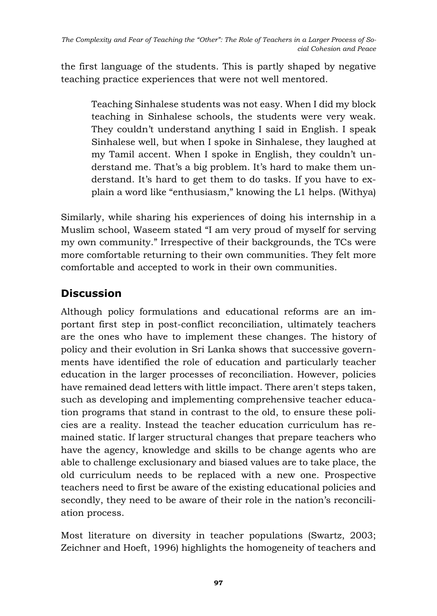the first language of the students. This is partly shaped by negative teaching practice experiences that were not well mentored.

Teaching Sinhalese students was not easy. When I did my block teaching in Sinhalese schools, the students were very weak. They couldn't understand anything I said in English. I speak Sinhalese well, but when I spoke in Sinhalese, they laughed at my Tamil accent. When I spoke in English, they couldn't understand me. That's a big problem. It's hard to make them understand. It's hard to get them to do tasks. If you have to explain a word like "enthusiasm," knowing the L1 helps. (Withya)

Similarly, while sharing his experiences of doing his internship in a Muslim school, Waseem stated "I am very proud of myself for serving my own community." Irrespective of their backgrounds, the TCs were more comfortable returning to their own communities. They felt more comfortable and accepted to work in their own communities.

# **Discussion**

Although policy formulations and educational reforms are an important first step in post-conflict reconciliation, ultimately teachers are the ones who have to implement these changes. The history of policy and their evolution in Sri Lanka shows that successive governments have identified the role of education and particularly teacher education in the larger processes of reconciliation. However, policies have remained dead letters with little impact. There aren't steps taken, such as developing and implementing comprehensive teacher education programs that stand in contrast to the old, to ensure these policies are a reality. Instead the teacher education curriculum has remained static. If larger structural changes that prepare teachers who have the agency, knowledge and skills to be change agents who are able to challenge exclusionary and biased values are to take place, the old curriculum needs to be replaced with a new one. Prospective teachers need to first be aware of the existing educational policies and secondly, they need to be aware of their role in the nation's reconciliation process.

Most literature on diversity in teacher populations (Swartz, 2003; Zeichner and Hoeft, 1996) highlights the homogeneity of teachers and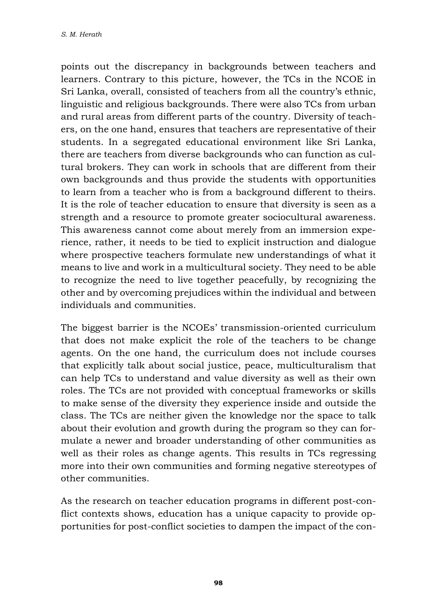points out the discrepancy in backgrounds between teachers and learners. Contrary to this picture, however, the TCs in the NCOE in Sri Lanka, overall, consisted of teachers from all the country's ethnic, linguistic and religious backgrounds. There were also TCs from urban and rural areas from different parts of the country. Diversity of teachers, on the one hand, ensures that teachers are representative of their students. In a segregated educational environment like Sri Lanka, there are teachers from diverse backgrounds who can function as cultural brokers. They can work in schools that are different from their own backgrounds and thus provide the students with opportunities to learn from a teacher who is from a background different to theirs. It is the role of teacher education to ensure that diversity is seen as a strength and a resource to promote greater sociocultural awareness. This awareness cannot come about merely from an immersion experience, rather, it needs to be tied to explicit instruction and dialogue where prospective teachers formulate new understandings of what it means to live and work in a multicultural society. They need to be able to recognize the need to live together peacefully, by recognizing the other and by overcoming prejudices within the individual and between individuals and communities.

The biggest barrier is the NCOEs' transmission-oriented curriculum that does not make explicit the role of the teachers to be change agents. On the one hand, the curriculum does not include courses that explicitly talk about social justice, peace, multiculturalism that can help TCs to understand and value diversity as well as their own roles. The TCs are not provided with conceptual frameworks or skills to make sense of the diversity they experience inside and outside the class. The TCs are neither given the knowledge nor the space to talk about their evolution and growth during the program so they can formulate a newer and broader understanding of other communities as well as their roles as change agents. This results in TCs regressing more into their own communities and forming negative stereotypes of other communities.

As the research on teacher education programs in different post-conflict contexts shows, education has a unique capacity to provide opportunities for post-conflict societies to dampen the impact of the con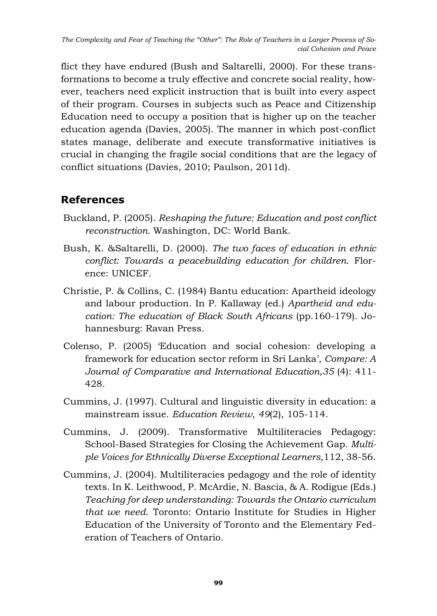flict they have endured (Bush and Saltarelli, 2000). For these transformations to become a truly effective and concrete social reality, however, teachers need explicit instruction that is built into every aspect of their program. Courses in subjects such as Peace and Citizenship Education need to occupy a position that is higher up on the teacher education agenda (Davies, 2005). The manner in which post-conflict states manage, deliberate and execute transformative initiatives is crucial in changing the fragile social conditions that are the legacy of conflict situations (Davies, 2010; Paulson, 2011d).

# **References**

- Buckland, P. (2005). *Reshaping the future: Education and post conflict reconstruction.* Washington, DC: World Bank.
- Bush, K. &Saltarelli, D. (2000). *The two faces of education in ethnic conflict: Towards a peacebuilding education for children*. Florence: UNICEF.
- Christie, P. & Collins, C. (1984) Bantu education: Apartheid ideology and labour production. In P. Kallaway (ed.) *Apartheid and education: The education of Black South Africans* (pp.160-179). Johannesburg: Ravan Press.
- Colenso, P. (2005) 'Education and social cohesion: developing a framework for education sector reform in Sri Lanka', *Compare: A Journal of Comparative and International Education,35* (4): 411- 428.
- Cummins, J. (1997). Cultural and linguistic diversity in education: a mainstream issue. *Education Review*, *49*(2), 105-114.
- Cummins, J. (2009). Transformative Multiliteracies Pedagogy: School-Based Strategies for Closing the Achievement Gap. *Multiple Voices for Ethnically Diverse Exceptional Learners*,112, 38-56.
- Cummins, J. (2004). Multiliteracies pedagogy and the role of identity texts. In K. Leithwood, P. McArdie, N. Bascia, & A. Rodigue (Eds.) *Teaching for deep understanding: Towards the Ontario curriculum that we need*. Toronto: Ontario Institute for Studies in Higher Education of the University of Toronto and the Elementary Federation of Teachers of Ontario.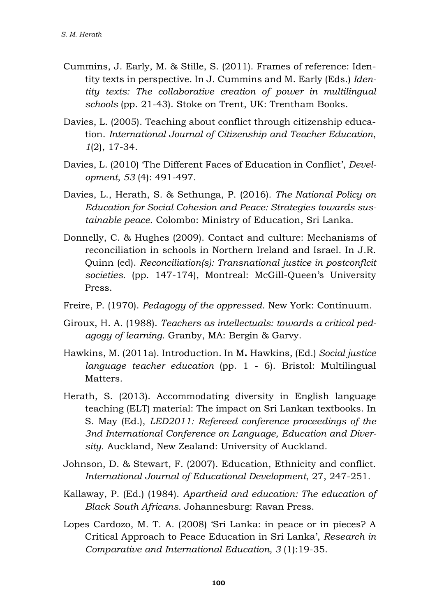- Cummins, J. Early, M. & Stille, S. (2011). Frames of reference: Identity texts in perspective. In J. Cummins and M. Early (Eds.) *Identity texts: The collaborative creation of power in multilingual schools* (pp. 21-43). Stoke on Trent, UK: Trentham Books.
- Davies, L. (2005). Teaching about conflict through citizenship education. *International Journal of Citizenship and Teacher Education*, *1*(2), 17-34.
- Davies, L. (2010) 'The Different Faces of Education in Conflict', *Development, 53* (4): 491-497.
- Davies, L., Herath, S. & Sethunga, P. (2016). *The National Policy on Education for Social Cohesion and Peace: Strategies towards sustainable peace*. Colombo: Ministry of Education, Sri Lanka.
- Donnelly, C. & Hughes (2009). Contact and culture: Mechanisms of reconciliation in schools in Northern Ireland and Israel. In J.R. Quinn (ed). *Reconciliation(s): Transnational justice in postconflcit societies*. (pp. 147-174), Montreal: McGill-Queen's University Press.
- Freire, P. (1970). *Pedagogy of the oppressed*. New York: Continuum.
- Giroux, H. A. (1988). *Teachers as intellectuals: towards a critical pedagogy of learning*. Granby, MA: Bergin & Garvy.
- Hawkins, M. (2011a). Introduction. In M**.** Hawkins, (Ed.) *Social justice language teacher education* (pp. 1 - 6). Bristol: Multilingual Matters.
- Herath, S. (2013). Accommodating diversity in English language teaching (ELT) material: The impact on Sri Lankan textbooks. In S. May (Ed.), *LED2011: Refereed conference proceedings of the 3nd International Conference on Language, Education and Diversity*. Auckland, New Zealand: University of Auckland.
- Johnson, D. & Stewart, F. (2007). Education, Ethnicity and conflict. *International Journal of Educational Development*, 27, 247-251.
- Kallaway, P. (Ed.) (1984). *Apartheid and education: The education of Black South Africans.* Johannesburg: Ravan Press.
- Lopes Cardozo, M. T. A. (2008) 'Sri Lanka: in peace or in pieces? A Critical Approach to Peace Education in Sri Lanka', *Research in Comparative and International Education, 3* (1):19-35.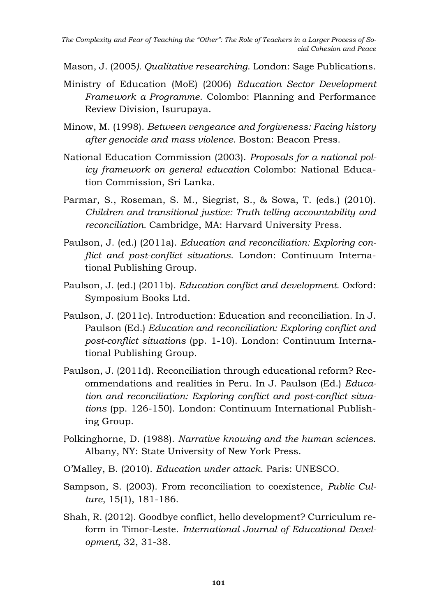Mason, J. (2005*). Qualitative researching*. London: Sage Publications.

- Ministry of Education (MoE) (2006) *Education Sector Development Framework a Programme*. Colombo: Planning and Performance Review Division, Isurupaya.
- Minow, M. (1998). *Between vengeance and forgiveness: Facing history after genocide and mass violence*. Boston: Beacon Press.
- National Education Commission (2003). *Proposals for a national policy framework on general education* Colombo: National Education Commission, Sri Lanka.
- Parmar, S., Roseman, S. M., Siegrist, S., & Sowa, T. (eds.) (2010). *Children and transitional justice: Truth telling accountability and reconciliation.* Cambridge, MA: Harvard University Press.
- Paulson, J. (ed.) (2011a). *Education and reconciliation: Exploring conflict and post-conflict situations*. London: Continuum International Publishing Group.
- Paulson, J. (ed.) (2011b). *Education conflict and development*. Oxford: Symposium Books Ltd.
- Paulson, J. (2011c). Introduction: Education and reconciliation. In J. Paulson (Ed.) *Education and reconciliation: Exploring conflict and post-conflict situations* (pp. 1-10). London: Continuum International Publishing Group.
- Paulson, J. (2011d). Reconciliation through educational reform? Recommendations and realities in Peru. In J. Paulson (Ed.) *Education and reconciliation: Exploring conflict and post-conflict situations* (pp. 126-150). London: Continuum International Publishing Group.
- Polkinghorne, D. (1988). *Narrative knowing and the human sciences*. Albany, NY: State University of New York Press.
- O'Malley, B. (2010). *Education under attack*. Paris: UNESCO.
- Sampson, S. (2003). From reconciliation to coexistence, *Public Culture*, 15(1), 181-186.
- Shah, R. (2012). Goodbye conflict, hello development? Curriculum reform in Timor-Leste. *International Journal of Educational Development*, 32, 31-38.